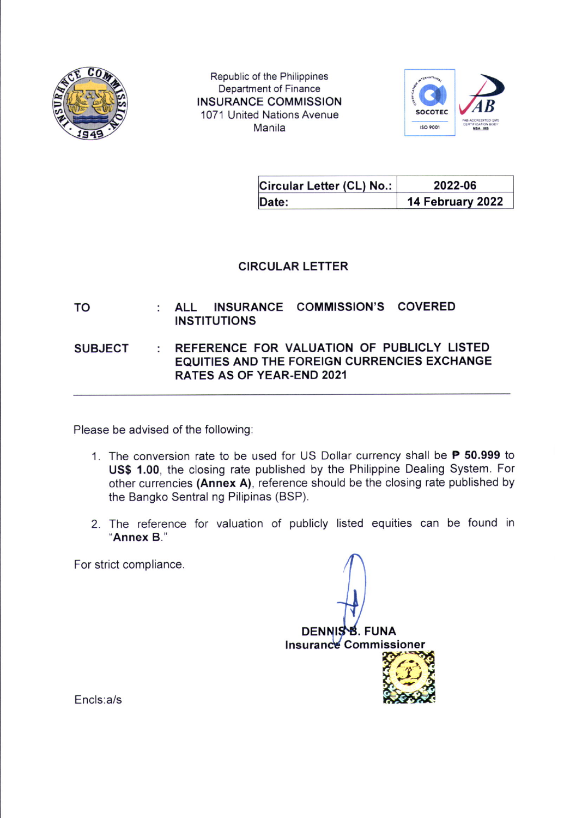

Republic of the Philippines Department of Finance INSURANCE COMMISSION 1071 United Nations Avenue Manila



| Circular Letter (CL) No.: | 2022-06          |
|---------------------------|------------------|
| Date:                     | 14 February 2022 |

## CIRCULAR LETTER

ALL INSURANCE COMMISSION'S COVERED TO ÷ INSTITUTIONS

**SUBJECT** REFERENCE FOR VALUATION OF PUBLICLY LISTED ÷. EQUITIES AND THE FOREIGN CURRENCIES EXCHANGE RATES AS OF YEAR-END 2021

Please be advised of the following:

- 1. The conversion rate to be used for US Dollar currency shall be  $\mathsf P$  50.999 to US\$ 1.00, the closing rate published by the Philippine Dealing System. For other currencies (Annex A), reference should be the closing rate published by the Bangko Sentral ng Pilipinas (BSP).
- 2. The reference for valuation of publicly listed equities can be found in "Annex B."

For strict compliance

DENNIS B. FUNA Insurance Commissioner P2'.H Encls:a/s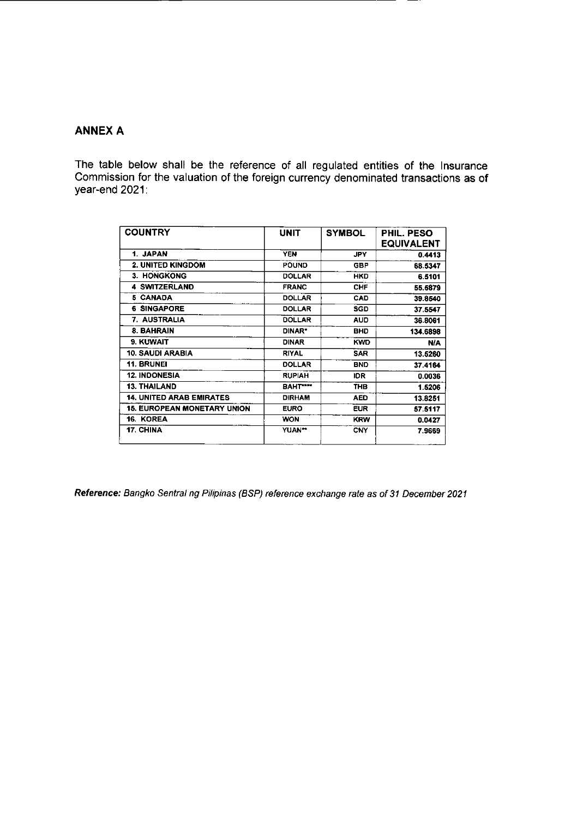## **ANNEX A**

The table below shall be the reference of all regulated entities of the Insurance<br>Commission for the valuation of the foreign currency denominated transactions as of year-end 2021:

| <b>COUNTRY</b>                     | <b>UNIT</b>         | <b>SYMBOL</b> | PHIL. PESO<br>EQUIVALENT |
|------------------------------------|---------------------|---------------|--------------------------|
| 1. JAPAN                           | <b>YEN</b>          | <b>JPY</b>    | 0.4413                   |
| 2. UNITED KINGDOM                  | <b>POUND</b>        | <b>GBP</b>    | 68.5347                  |
| 3. HONGKONG                        | <b>DOLLAR</b>       | <b>HKD</b>    | 6.5101                   |
| <b>4 SWITZERLAND</b>               | <b>FRANC</b>        | <b>CHF</b>    | 55,5879                  |
| 5 CANADA                           | <b>DOLLAR</b>       | <b>CAD</b>    | 39.8540                  |
| <b>6 SINGAPORE</b>                 | <b>DOLLAR</b>       | <b>SGD</b>    | 37.5547                  |
| 7. AUSTRALIA                       | <b>DOLLAR</b>       | <b>AUD</b>    | 36.8061                  |
| 8. BAHRAIN                         | DINAR*              | <b>BHD</b>    | 134.6898                 |
| 9. KUWAIT                          | <b>DINAR</b>        | <b>KWD</b>    | <b>N/A</b>               |
| 10. SAUDI ARABIA                   | <b>RIYAL</b>        | <b>SAR</b>    | 13.5260                  |
| <b>11. BRUNEI</b>                  | <b>DOLLAR</b>       | <b>BNO</b>    | 37.4164                  |
| <b>12. INDONESIA</b>               | <b>RUPIAH</b>       | IDR.          | 0.0036                   |
| <b>13. THAILAND</b>                | BAHT <sup>***</sup> | THB           | 1.5206                   |
| <b>14. UNITED ARAB EMIRATES</b>    | <b>DIRHAM</b>       | <b>AED</b>    | 13.8251                  |
| <b>15. EUROPEAN MONETARY UNION</b> | <b>EURO</b>         | <b>EUR</b>    | 57.5117                  |
| 16. KOREA                          | <b>WON</b>          | <b>KRW</b>    | 0.0427                   |
| 17. CHINA                          | YUAN**              | <b>CNY</b>    | 7.9669                   |

Reference: Bangko Sentral ng Pilipinas (BSP) reference exchange rate as of 31 December 2021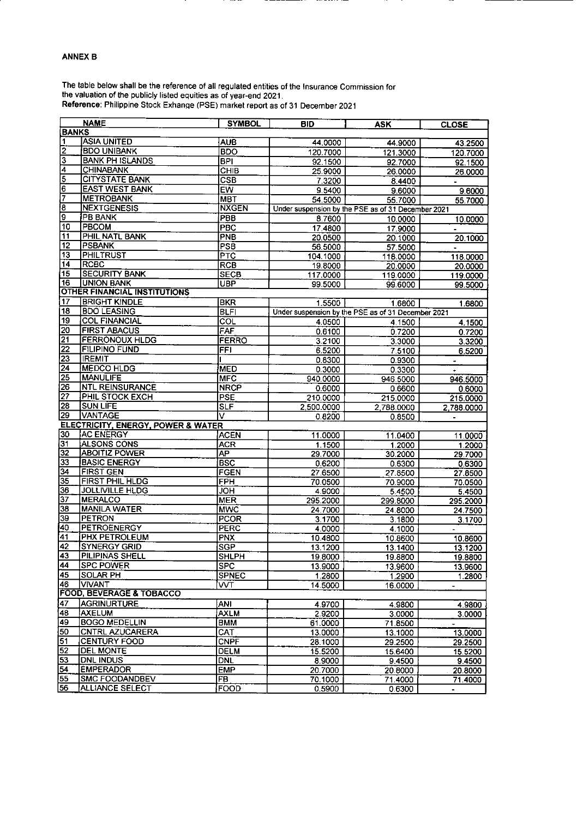## **ANNEX B**

The table below shall be the reference of all regulated entities of the Insurance Commission for<br>the valuation of the publicly listed equities as of year-end 2021.<br>Reference: Philippine Stock Exhange (PSE) market report as

|                         | <b>NAME</b>                         | <b>SYMBOL</b>           | <b>BID</b>                                         | <b>ASK</b>      | <b>CLOSE</b>   |
|-------------------------|-------------------------------------|-------------------------|----------------------------------------------------|-----------------|----------------|
| <b>BANKS</b>            |                                     |                         |                                                    |                 |                |
| 1                       | <b>ASIA UNITED</b>                  | <b>AUB</b>              | 44.0000                                            | 44.9000         | 43.2500        |
| $\overline{2}$          | <b>BDO UNIBANK</b>                  | <b>BDO</b>              | 120.7000                                           | 121.3000        | 120.7000       |
| $\overline{\mathbf{3}}$ | <b>BANK PH ISLANDS</b>              | $\overline{BP}$         | 92.1500                                            | 92.7000         | 92.1500        |
| $\overline{4}$          | <b>CHINABANK</b>                    | СНІ $\overline{B}$      | 25.9000                                            | 26.0000         | 26.0000        |
| $\overline{5}$          | <b>CITYSTATE BANK</b>               | $\overline{\text{CSB}}$ | 7.3200                                             | 8.4400          |                |
| 6                       | <b>EAST WEST BANK</b>               | EW                      | 9.5400                                             |                 |                |
| 7                       | <b>METROBANK</b>                    | <b>MBT</b>              |                                                    | 9.6000          | 9.6000         |
| 8]                      | <b>NEXTGENESIS</b>                  | <b>NXGEN</b>            | 54.5000                                            | 55.7000         | 55.7000        |
| g                       | PB BANK                             | <b>PBB</b>              | Under suspension by the PSE as of 31 December 2021 |                 |                |
| 10                      | <b>PBCOM</b>                        |                         | 8.7600                                             | 10.0000         | 10.0000        |
| 11                      | PHIL NATL BANK                      | PBC<br>PNB              | 17.4800                                            | 17.9000         |                |
| 12                      | <b>PSBANK</b>                       | PSB                     | 20.0500                                            | 20.1000         | 20.1000        |
| 13                      | PHILTRUST                           | $\overline{\text{PTC}}$ | 56.5000                                            | 57.5000         |                |
| 14                      | <b>RCBC</b>                         |                         | 104.1000                                           | 118.0000        | 118.0000       |
| 15                      | <b>SECURITY BANK</b>                | <b>RCB</b>              | 19.8000                                            | 20.0000         | 20.0000        |
| 16                      | <b>UNION BANK</b>                   | <b>SECB</b>             | 117.0000                                           | 119.0000        | 119.0000       |
|                         | <b>OTHER FINANCIAL INSTITUTIONS</b> | <b>UBP</b>              | 99.5000                                            | 99.6000         | 99.5000        |
| 17                      | <b>BRIGHT KINDLE</b>                |                         |                                                    |                 |                |
|                         |                                     | <b>BKR</b>              | 1.5500                                             | 1.6800          | 1.6800         |
| 18                      | <b>BDO LEASING</b>                  | <b>BLFI</b>             | Under suspension by the PSE as of 31 December 2021 |                 |                |
| 19                      | <b>COL FINANCIAL</b>                | $\overline{col}$        | 4.0500                                             | 4.1500          | 4.1500         |
| 20                      | <b>FIRST ABACUS</b>                 | FAF                     | 0.6100                                             | 0.7200          | 0.7200         |
| 21                      | <b>FERRONOUX HLDG</b>               | <b>FERRO</b>            | 3.2100                                             | 3.3000          | 3.3200         |
| $ 22\rangle$            | <b>FILIPINO FUND</b>                | <b>FFI</b>              | 6.5200                                             | 7.5100          | 6.5200         |
| $\sqrt{23}$             | <b>IREMIT</b>                       |                         | 0.8300                                             | 0.9300          |                |
| $\overline{24}$         | <b>MEDCO HLDG</b>                   | <b>MED</b>              | 0.3000                                             | 0.3300          |                |
| 25                      | <b>MANULIFE</b>                     | <b>MFC</b>              | 940.0000                                           | 946.5000        | 946.5000       |
| 26                      | <b>NTL REINSURANCE</b>              | <b>NRCP</b>             | 0.6000                                             | 0.6600          | 0.6000         |
| 27                      | PHIL STOCK EXCH                     | <b>PSE</b>              | 210.0000                                           | 215.0000        | 215.0000       |
| 28                      | <b>SUN LIFE</b>                     | <b>SLF</b>              | 2,500.0000                                         | 2,788.0000      | 2,788.0000     |
| 29                      | <b>VANTAGE</b>                      | v                       | 0.8200                                             | 0.8500          | $\blacksquare$ |
|                         | ELECTRICITY, ENERGY, POWER & WATER  |                         |                                                    |                 |                |
| 30                      | <b>AC ENERGY</b>                    | <b>ACEN</b>             | 11.0000                                            | 11.0400         | 11.0000        |
| 31                      | <b>ALSONS CONS</b>                  | <b>ACR</b>              | 1.1500                                             | 1.2000          | 1.2000         |
| 32                      | <b>ABOITIZ POWER</b>                | AΡ                      | 29.7000                                            | 30.2000         | 29.7000        |
| 33                      | <b>BASIC ENERGY</b>                 | <b>BSC</b>              | 0.6200                                             | 0.6300          | 0.6300         |
| 34                      | FIRST GEN                           | <b>FGEN</b>             | 27.6500                                            | 27.8500         | 27.8500        |
| 35                      | FIRST PHIL HLDG                     | <b>FPH</b>              | 70.0500                                            | 70.9000         | 70.0500        |
| 36                      | JOLLIVILLE HLDG                     | <b>HOL</b>              | 4 9000                                             | 5.4500          | 5.4500         |
| 37                      | <b>MERALCO</b>                      | <b>MER</b>              | 295.2000                                           | 299.8000        | 295.2000       |
| 38                      | <b>MANILA WATER</b>                 | MWC                     | 24.7000                                            | 24.8000         | 24.7500        |
| 39                      | <b>PETRON</b>                       | PCOR                    | 3.1700                                             | 3.1800          | 3.1700         |
| 40                      | <b>PETROENERGY</b>                  | <b>PERC</b>             | 4.0000                                             | 4.1000          | $\sim$         |
| 41                      | <b>PHX PETROLEUM</b>                | <b>PNX</b>              | 10.4800                                            | 10.8600         | 10.8600        |
| 42                      | <b>SYNERGY GRID</b>                 | <b>SGP</b>              | 13.1200                                            | 13.1400         | 13.1200        |
| 43                      | PILIPINAS SHELL                     | <b>SHLPH</b>            | 19.8000                                            | 19.8800         | 19.8800        |
| 44                      | <b>SPC POWER</b>                    | <b>SPC</b>              | 13.9000                                            | 13.9600         | 13.9600        |
| 45                      | <b>SOLAR PH</b>                     | <b>SPNEC</b>            | 1.2800                                             | 1.2900          | 1.2800         |
| 46                      | <b>VIVANT</b>                       | vvт                     | 14.5000                                            | 16.0000         | Ξ.             |
|                         | <b>FOOD, BEVERAGE &amp; TOBACCO</b> |                         |                                                    |                 |                |
| 47                      | <b>AGRINURTURE</b>                  | ANI                     | 4 9700                                             | 4.9800          | 4 9800         |
| 48                      | AXELUM                              | <b>AXLM</b>             | 2 9 2 0 0                                          | 3.0000          | 3.0000         |
| 49                      | <b>BOGO MEDELLIN</b>                | BMM                     | 61.0000                                            | 71.8500         |                |
| $\overline{50}$         | CNTRL AZUCARERA                     | CAT                     | 13.0000                                            | 13.1000         | 13.0000        |
| $\sqrt{51}$             | <b>CENTURY FOOD</b>                 | <b>CNPF</b>             | 28.1000                                            | 29.2500         | 29.2500        |
| 52                      | <b>DEL MONTE</b>                    | <b>DELM</b>             | 15.5200                                            | 15.6400         | 15.5200        |
| 53                      | <b>DNL INDUS</b>                    | DNL                     | 8.9000                                             | 9.4500          | 9.4500         |
| 54                      | <b>EMPERADOR</b>                    | <b>EMP</b>              | 20.7000                                            | 20.8000         | 20.8000        |
| 55                      | <b>SMC FOODANDBEV</b>               | FB                      | 70.1000                                            | 71.4000         | 71.4000        |
| उन                      | <b>ALLIANCE SELECT</b>              | <b>FOOD</b>             | 0.5900                                             | <u>0.6300 L</u> |                |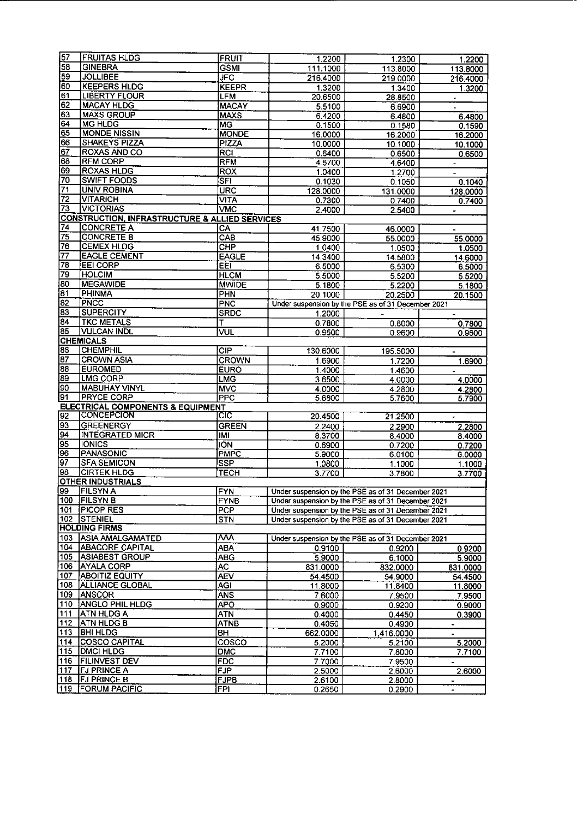| 157             | <b>FRUITAS HLDG</b>                                       | <b>FRUIT</b> | 1.2200   | 1.2300                                             | 1.2200               |
|-----------------|-----------------------------------------------------------|--------------|----------|----------------------------------------------------|----------------------|
| 58              | <b>GINEBRA</b>                                            | <b>GSMI</b>  | 111.1000 | 113.8000                                           | 113.8000             |
| 59              | <b>JOLLIBEE</b>                                           | JFC          | 216.4000 | 219.0000                                           | 216.4000             |
| 60              | <b>KEEPERS HLDG</b>                                       | <b>KEEPR</b> | 1.3200   | 1.3400                                             | 1.3200               |
| 61              | <b>LIBERTY FLOUR</b>                                      | <b>LFM</b>   | 20.6500  | 28.8500                                            | $\bullet$            |
| 62              | <b>MACAY HLDG</b>                                         | <b>MACAY</b> | 5.5100   | 6.6900                                             |                      |
| 63              | <b>MAXS GROUP</b>                                         | <b>MAXS</b>  | 6.4200   | 6.4800                                             | 6.4800               |
| 64              | <b>MG HLDG</b>                                            | MG           | 0.1500   | 0.1580                                             | 0.1590               |
| 65              | <b>MONDE NISSIN</b>                                       | <b>MONDE</b> | 16.0000  | 16.2000                                            | 16.2000              |
| 66              | <b>SHAKEYS PIZZA</b>                                      | PIZZA        | 10.0000  | 10.1000                                            | 10.1000              |
| 67              | ROXAS AND CO                                              | RCI          | 0.6400   | 0.6500                                             | 0.6500               |
| 68              | <b>RFM CORP</b>                                           | RFM          | 4.5700   | 4.6400                                             |                      |
| 69              | <b>ROXAS HLDG</b>                                         | ROX          | 1.0400   | 1.2700                                             | $\blacksquare$       |
| 70              | <b>SWIFT FOODS</b>                                        | <b>SFI</b>   | 0.1030   | 0.1050                                             | 0.1040               |
| 71              | <b>UNIV ROBINA</b>                                        | <b>URC</b>   | 128.0000 | 131.0000                                           | 128.0000             |
| 72              | VITARICH                                                  | <b>VITA</b>  | 0.7300   | 0.7400                                             | 0.7400               |
| 73              | <b>VICTORIAS</b>                                          | <b>VMC</b>   | 2.4000   | 2.5400                                             |                      |
|                 | <b>CONSTRUCTION, INFRASTRUCTURE &amp; ALLIED SERVICES</b> |              |          |                                                    |                      |
| 74              | <b>CONCRETE A</b>                                         | CA           | 41.7500  | 46.0000                                            |                      |
| 75              | <b>CONCRETE B</b>                                         | CAB          | 45.9000  | 55.0000                                            | 55.0000              |
| 76              | <b>CEMEX HLDG</b>                                         | CHP          | 1.0400   | 1.0500                                             |                      |
| 77              | <b>EAGLE CEMENT</b>                                       | <b>EAGLE</b> | 14.3400  |                                                    | 1.0500               |
| 78              | <b>EEI CORP</b>                                           | EET          | 6.5000   | 14.5800<br>6.5300                                  | 14.6000              |
| 79              | <b>HOLCIM</b>                                             | <b>HLCM</b>  | 5.5000   |                                                    | 6.5000               |
| $\overline{80}$ | <b>MEGAWIDE</b>                                           | <b>MWIDE</b> |          | 5.5200                                             | 5.5200               |
| 81              | PHINMA                                                    | PHN          | 5.1800   | 5.2200                                             | 5.1800               |
| 82              | PNCC                                                      |              | 20.1000  | 20.2500                                            | 20.1500              |
| 83              |                                                           | <b>PNC</b>   |          | Under suspension by the PSE as of 31 December 2021 |                      |
| 84              | <b>SUPERCITY</b><br><b>TKC METALS</b>                     | <b>SRDC</b>  | 1.2000   |                                                    |                      |
|                 |                                                           | т            | 0.7800   | 0.8000                                             | 0.7800               |
| 85              | <b>VULCAN INDL</b>                                        | VUL          | 0.9500   | 0.9600                                             | 0.9600               |
|                 | <b>CHEMICALS</b>                                          |              |          |                                                    |                      |
| 86              | <b>CHEMPHIL</b>                                           | CIP          | 130,6000 | 195.5000                                           |                      |
| 87              | <b>CROWN ASIA</b>                                         | <b>CROWN</b> | 1.6900   | 1.7200                                             | 1.6900               |
| 88              | <b>EUROMED</b>                                            | <b>EURO</b>  | 1.4000   | 1.4600                                             | $\blacksquare$       |
| 89              | <b>LMG CORP</b>                                           | <b>LMG</b>   | 3.6500   | 4.0000                                             | 4.0000               |
| 190             | <b>MABUHAY VINYL</b>                                      | <b>MVC</b>   | 4.0000   | 4.2800                                             | 4.2800               |
| 91              | <b>PRYCE CORP</b>                                         | <b>PPC</b>   | 5.6800   | 5.7600                                             | 5.7900               |
|                 | <b>ELECTRICAL COMPONENTS &amp; EQUIPMENT</b>              |              |          |                                                    |                      |
| 92              | CONCEPCION                                                | CIC          | 20.4500  | 21.2500                                            | $\blacksquare$       |
| 93              | <b>GREENERGY</b>                                          | <b>GREEN</b> | 2.2400   | 2.2900                                             | 2.2800               |
| 94              | <b>INTEGRATED MICR</b>                                    | IMI          | 8.3700   | 8.4000                                             | 8.4000               |
| 95              | <b>IONICS</b>                                             | <b>ION</b>   | 0.6900   | 0.7200                                             | 0.7200               |
| 96              | <b>PANASONIC</b>                                          | <b>PMPC</b>  | 5 9000   | 6.0100                                             | 6.0000               |
| 97              | <b>SFA SEMICON</b>                                        | <b>SSP</b>   | 1.0800   | 1.1000                                             | 1.1000               |
| 98              | <b>CIRTEK HLDG</b>                                        | <b>TECH</b>  | 3.7700   | 3.7800                                             | 3.7700               |
|                 | <b>OTHER INDUSTRIALS</b>                                  |              |          |                                                    |                      |
| 99              | <b>FILSYN A</b>                                           | <b>FYN</b>   |          | Under suspension by the PSE as of 31 December 2021 |                      |
| 100             | <b>IFILSYN B</b>                                          | <b>FYNB</b>  |          | Under suspension by the PSE as of 31 December 2021 |                      |
| 101.            | <b>PICOP RES</b>                                          | <b>PCP</b>   |          | Under suspension by the PSE as of 31 December 2021 |                      |
| 102             | <b>STENIEL</b>                                            | STN          |          | Under suspension by the PSE as of 31 December 2021 |                      |
|                 | <b>HOLDING FIRMS</b>                                      |              |          |                                                    |                      |
| 103             | <b>ASIA AMALGAMATED</b>                                   | <b>AAA</b>   |          | Under suspension by the PSE as of 31 December 2021 |                      |
| 104             | ABACORE CAPITAL                                           | <b>ABA</b>   | 0.9100   | 0.9200                                             | 0.9200               |
| 105             | <b>ASIABEST GROUP</b>                                     | ABG.         | 5.9000   | 6.1000                                             | 5.9000               |
| 106             | <b>AYALA CORP</b>                                         | AC           | 831 0000 | 832.0000                                           | 831.0000             |
| 107             | <b>ABOITIZ EQUITY</b>                                     | <b>AEV</b>   | 54 4500  | 54.9000                                            | 54.4500              |
| 108             | <b>ALLIANCE GLOBAL</b>                                    | <b>AGI</b>   | 11.8000  | 11.8400                                            | 11.8000              |
| 109.            | <b>ANSCOR</b>                                             | <b>ANS</b>   | 7 6000   | 7.9500                                             | 7 9500               |
| 110             | <b>ANGLO PHIL HLDG</b>                                    | <b>APO</b>   | 0.9000   | 0.9200                                             | 0.9000               |
| 111             | <b>ATN HLDG A</b>                                         | ATN          | 0.4000   | 0.4450                                             | 0.3900               |
| 112             | ATN HLDG B                                                | <b>ATNB</b>  | 04050    | 0.4900                                             |                      |
| 113             | <b>BHI HLDG</b>                                           | BH           | 662.0000 | 1,416.0000                                         | $\ddot{\phantom{1}}$ |
| 114             | <b>COSCO CAPITAL</b>                                      | cosco        | 5 2000   | 5.2100                                             | 5.2000               |
| 115             | <b>DMCI HLDG</b>                                          | DMC          | 7.7100   | 7.8000                                             | 7.7100               |
| 116             | <b>FILINVEST DEV</b>                                      | <b>FDC</b>   | 7.7000   | 7.9500                                             | $\blacksquare$       |
| 111 <u>7</u>    | <b>FJ PRINCE A</b>                                        | <b>FJP</b>   | 2.5000   | 2.6000                                             | 2.6000               |
| 118             | FJ PRINCE B                                               | <b>FJPB</b>  | 2.6100   | 2.8000                                             | $\blacksquare$       |
| 119             | <b>FORUM PACIFIC</b>                                      | FPI          | 0.2650   | 0.2900                                             | $\blacksquare$       |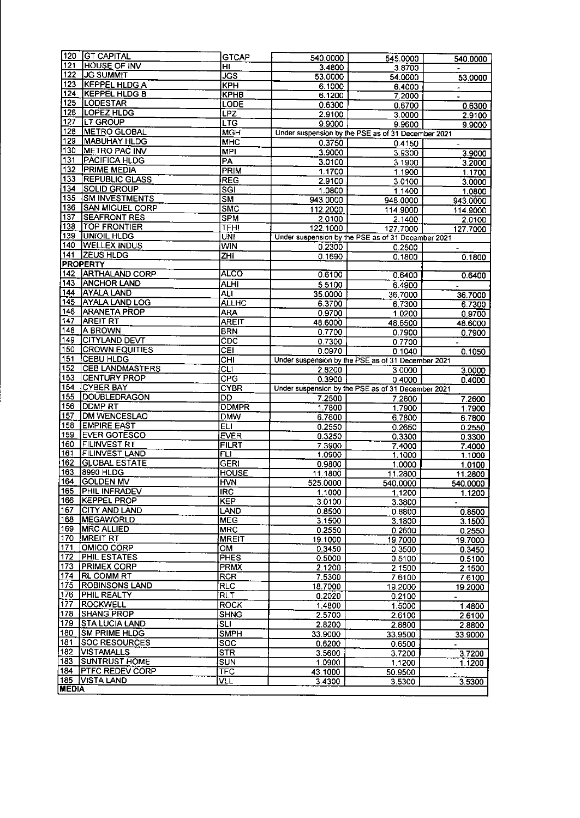| 120                                   | <b>GT CAPITAL</b>                          | <b>GTCAP</b>              | 540,0000                                                       | 545.0000          | 540.0000                           |
|---------------------------------------|--------------------------------------------|---------------------------|----------------------------------------------------------------|-------------------|------------------------------------|
| 121                                   | <b>HOUSE OF INV</b>                        | HI                        | 3 4800                                                         | 3.8700            |                                    |
| 122                                   | <b>JG SUMMIT</b>                           | JGS                       | 53.0000                                                        | 54.0000           | 53.0000                            |
| 123                                   | <b>KEPPEL HLDG A</b>                       | KPH                       | 6.1000                                                         | 6.4000            | $\blacksquare$                     |
| 124                                   | <b>KEPPEL HLDG B</b>                       | <b>KPHB</b>               | 6.1200                                                         | 7.2000            | $\blacksquare$                     |
| 125                                   | <b>LODESTAR</b>                            | <b>LODE</b>               | 0.6300                                                         | 0.6700            | 0.6300                             |
| 126                                   | <b>LOPEZ HLDG</b>                          | LPZ                       | 2.9100                                                         | 3.0000            | 2.9100                             |
| 127                                   | LT GROUP                                   | <b>LTG</b>                | 9.9000                                                         | 9.9600            | 9.9000                             |
| 128                                   | <b>METRO GLOBAL</b>                        | <b>MGH</b>                | Under suspension by the PSE as of 31 December 2021             |                   |                                    |
| 129                                   | <b>MABUHAY HLDG</b>                        | <b>MHC</b>                | 0.3750                                                         | 0.4150            |                                    |
| 130<br>131                            | <b>METRO PAC INV</b>                       | <b>MPI</b>                | 3.9000                                                         | 3.9300            | 3.9000                             |
| 132                                   | <b>PACIFICA HLDG</b><br><b>PRIME MEDIA</b> | PA                        | 3.0100                                                         | 3.1900            | $3.\overline{2000}$                |
| 133                                   | <b>REPUBLIC GLASS</b>                      | PRIM                      | 1.1700                                                         | 1.1900            | 1.1700                             |
| 134                                   | SOLID GROUP                                | <b>REG</b><br>SGI         | 2.9100                                                         | 3.0100            | 3.0000                             |
| 135                                   | <b>SM INVESTMENTS</b>                      |                           | 1.0800                                                         | 1.1400            | 1.0800                             |
| 136                                   | <b>SAN MIGUEL CORP</b>                     | <b>SM</b><br><b>SMC</b>   | 943.0000                                                       | 948.0000          | 943.0000                           |
| 137                                   | <b>SEAFRONT RES</b>                        |                           | 112.2000                                                       | 114.9000          | 114.9000                           |
| 138                                   | TOP FRONTIER                               | <b>SPM</b><br><b>TFHI</b> | 2.0100                                                         | 2.1400            | 2.0100                             |
| 139                                   | UNIOIL HLDG                                | UNI                       | 122,1000<br>Under suspension by the PSE as of 31 December 2021 | 127.7000          | 127.7000                           |
| 140                                   | <b>WELLEX INDUS</b>                        | <b>WIN</b>                |                                                                |                   |                                    |
| 141                                   | <b>ZEUS HLDG</b>                           | $\overline{\mathsf{ZHI}}$ | 0.2300                                                         | 0.2500            |                                    |
|                                       | <b>PROPERTY</b>                            |                           | 0.1690                                                         | 0.1800            | 0.1800                             |
| 142                                   | <b>ARTHALAND CORP</b>                      | <b>ALCO</b>               | 0.6100                                                         | 0.6400            | 0.6400                             |
| 143                                   | <b>ANCHOR LAND</b>                         | <b>ALHI</b>               | 5.5100                                                         | 6.4900            |                                    |
| 144                                   | AYALA LAND                                 | ALI                       | 35.0000                                                        | 36.7000           | 36.7000                            |
| 145                                   | <b>AYALA LAND LOG</b>                      | <b>ALLHC</b>              | 6.3700                                                         | 6.7300            | 6.7300                             |
| 146                                   | <b>ARANETA PROP</b>                        | <b>ARA</b>                | 0.9700                                                         | 1.0200            | 0.9700                             |
| 147                                   | <b>AREIT RT</b>                            | <b>AREIT</b>              | 48.6000                                                        | 48.6500           | 48.6000                            |
| 148                                   | A BROWN                                    | <b>BRN</b>                | 0.7700                                                         | 0.7900            | 0.7900                             |
| 149                                   | CITYLAND DEVT                              | CDC                       | 0.7300                                                         | 0.7700            |                                    |
| 150                                   | <b>CROWN EQUITIES</b>                      | <b>CEI</b>                | 0.0970                                                         | 0.1040            | 0.1050                             |
| 151                                   | CEBU HLDG                                  | $\overline{CHI}$          | Under suspension by the PSE as of 31 December 2021             |                   |                                    |
| 152                                   | <b>CEB LANDMASTERS</b>                     | $\overline{c}$            | 2.8200                                                         | 3.0000            | 3.0000                             |
| 153                                   | <b>CENTURY PROP</b>                        | CPC                       | 0.3900                                                         | 0.4000            | 0.4000                             |
| 154                                   | <b>CYBER BAY</b>                           | <b>CYBR</b>               | Under suspension by the PSE as of 31 December 2021             |                   |                                    |
| 155                                   | <b>DOUBLEDRAGON</b>                        | <b>DD</b>                 | 7.2500                                                         | 7.2600            | 7.2600                             |
|                                       | DDMP RT                                    | <b>DDMPR</b>              | 1.7800                                                         | 1.7900            | 1.7900                             |
| 156                                   |                                            |                           |                                                                |                   |                                    |
| 157                                   | DM WENCESLAO                               | <b>DMW</b>                | 6.7600                                                         | 6.7800            |                                    |
| 158                                   | <b>EMPIRE EAST</b>                         | <b>ELI</b>                | 0.2550                                                         |                   | 6 7800                             |
| 159                                   | <b>EVER GOTESCO</b>                        | <b>EVER</b>               | 0.3250                                                         | 0.2650<br>0.3300  | 0 2550<br>0.3300                   |
| 160                                   | FILINVEST RT                               | <b>FILRT</b>              | 7.3900                                                         | 7.4000            | 74000                              |
| 161                                   | FILINVEST LAND                             | <b>FLI</b>                | 1.0900                                                         | 1.1000            | 1.1000                             |
| 162                                   | <b>GLOBAL ESTATE</b>                       | <b>GERI</b>               | 0.9800                                                         | 1.0000            | 1.0100                             |
| 163                                   | 8990 HLDG                                  | <b>HOUSE</b>              | 11.1800                                                        | 11.2800           | 11.2800                            |
| 164                                   | <b>GOLDEN MV</b>                           | <b>HVN</b>                | 525.0000                                                       | 540.0000          | 540.0000                           |
|                                       | <b>PHIL INFRADEV</b>                       | <b>IRC</b>                | 1.1000                                                         | 1.1200            | 1.1200                             |
|                                       | KEPPEL PROP                                | <b>KEP</b>                | 3.0100                                                         | 3.3800            |                                    |
| 167                                   | <b>CITY AND LAND</b>                       | LAND                      | 0.8500                                                         | 0.8800            | 0.8500                             |
| 168                                   | <b>MEGAWORLD</b>                           | <b>MEG</b>                | 3.1500                                                         | 3.1800            | 3.1500                             |
| 169                                   | <b>MRC ALLIED</b>                          | <b>MRC</b>                | 0.2550                                                         | 0.2600            | 0.2550                             |
|                                       | <b>MREIT RT</b>                            | <b>MREIT</b>              | 19.1000                                                        | 19.7000           | 19.7000                            |
| 171                                   | OMICO CORP                                 | <b>OM</b>                 | 0.3450                                                         | 0.3500            | 0.3450                             |
| 172                                   | <b>PHIL ESTATES</b>                        | <b>PHES</b>               | 0.5000                                                         | 0.5100            | 0.5100                             |
| 173                                   | <b>PRIMEX CORP</b>                         | <b>PRMX</b>               | 2.1200                                                         | 2.1500            | 2.1500                             |
| 174                                   | <b>RL COMM RT</b>                          | <b>RCR</b>                | 7.5300                                                         | 7.6100            | 76100                              |
| 175                                   | <b>ROBINSONS LAND</b>                      | <b>RLC</b>                | 18.7000                                                        | 19.2000           | 19.2000                            |
| 176                                   | PHIL REALTY                                | RLT                       | 0.2020                                                         | 0.2100            | $\blacksquare$                     |
| 165<br>166<br>$\overline{170}$<br>177 | <b>ROCKWELL</b>                            | <b>ROCK</b>               | 1.4800                                                         | 1.5000            | 14800                              |
| 178                                   | <b>SHANG PROP</b>                          | <b>SHNG</b>               | 2.5700                                                         | 2.6100            | 2.6100                             |
| 179                                   | <b>STA LUCIA LAND</b>                      | SLI                       | 2.8200                                                         | 2.8800            | 2.8800                             |
| 180                                   | <b>SM PRIME HLDG</b>                       | <b>SMPH</b>               | 33.9000                                                        | 33.9500           | 33.9000                            |
| 181<br>182                            | <b>SOC RESOURCES</b>                       | SOC                       | 0.6200                                                         | 0.6500            | $\blacksquare$                     |
|                                       | <b>VISTAMALLS</b>                          | STR                       | 3.5600                                                         | 3.7200            | 3.7200                             |
| 183<br>184                            | <b>SUNTRUST HOME</b>                       | <b>SUN</b>                | 1.0900                                                         | 1.1200            | 1.1200<br>$\overline{\phantom{a}}$ |
| 185                                   | <b>PTFC REDEV CORP</b><br>VISTA LAND       | <b>TFC</b><br>VLL         | 43.1000<br>3.4300                                              | 50.9500<br>3.5300 | 3.5300                             |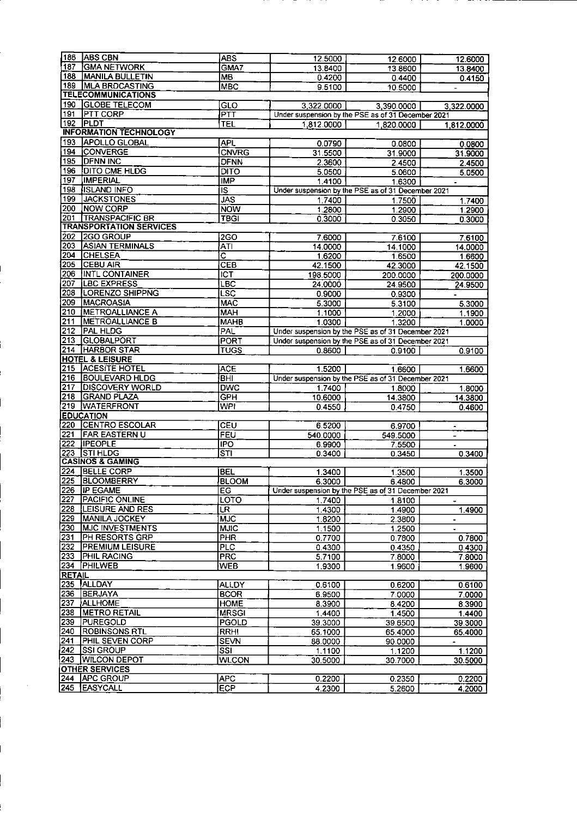| 186             | <b>ABS CBN</b>                 | <b>ABS</b>                        | 12.5000                                            | 12.6000                                            | 12.6000        |
|-----------------|--------------------------------|-----------------------------------|----------------------------------------------------|----------------------------------------------------|----------------|
| 187             | <b>GMA NETWORK</b>             | GMA7                              | 13.8400                                            | 13.8600                                            | 13.8400        |
| 188             | <b>MANILA BULLETIN</b>         | <b>MB</b>                         | 0.4200                                             | 0.4400                                             | 0.4150         |
| 189             | <b>MLA BRDCASTING</b>          | <b>MBC</b>                        |                                                    |                                                    |                |
|                 | <b>TELECOMMUNICATIONS</b>      |                                   | 9.5100                                             | 10.5000                                            | $\blacksquare$ |
|                 |                                |                                   |                                                    |                                                    |                |
| 190             | <b>GLOBE TELECOM</b>           | $\overline{\textsf{GLO}}$         | 3.322.0000                                         | 3,390.0000                                         | 3,322.0000     |
| 191             | <b>PTT CORP</b>                | $\overline{\mathsf{P}\mathsf{T}}$ |                                                    | Under suspension by the PSE as of 31 December 2021 |                |
| 192             | <b>PLDT</b>                    | <b>TEL</b>                        | 1,812.0000                                         | 1,820.0000                                         | 1,812,0000     |
|                 | <b>INFORMATION TECHNOLOGY</b>  |                                   |                                                    |                                                    |                |
|                 |                                |                                   |                                                    |                                                    |                |
| 193             | <b>APOLLO GLOBAL</b>           | <b>APL</b>                        | 0.0790                                             | 0.0800                                             | 0.0800         |
| 194             | <b>ÍCONVERGE</b>               | <b>CNVRG</b>                      | 31.5500                                            | 31.9000                                            | 31.9000        |
| 195             | <b>DFNN INC</b>                | <b>DFNN</b>                       | 2.3600                                             | 2.4500                                             | 2.4500         |
| 196             | <b>DITO CME HLDG</b>           | <b>DITO</b>                       | 5.0500                                             |                                                    |                |
|                 |                                |                                   |                                                    | 5.0600                                             | 5.0500         |
| 197             | <b>IMPERIAL</b>                | <b>IMP</b>                        | 1.4100                                             | 1.6300                                             | $\blacksquare$ |
| 198             | <b>ISLAND INFO</b>             | īs                                |                                                    | Under suspension by the PSE as of 31 December 2021 |                |
| 199             | <b>JACKSTONES</b>              | <b>JAS</b>                        | 1 7400                                             | 1.7500                                             | 1.7400         |
| 200             | <b>NOW CORP</b>                | <b>NOW</b>                        | 1.2800                                             | 1.2900                                             | 1.2900         |
| 201             | <b>TRANSPACIFIC BR</b>         | <b>TBGT</b>                       | 0.3000                                             |                                                    |                |
|                 |                                |                                   |                                                    | 0.3050                                             | 0.3000         |
|                 | <b>TRANSPORTATION SERVICES</b> |                                   |                                                    |                                                    |                |
| 202             | 2GO GROUP                      | 2GO                               | 7.6000                                             | 7.6100                                             | 7.6100         |
| 203             | <b>ASIAN TERMINALS</b>         | <b>ATI</b>                        | 14.0000                                            | 14.1000                                            | 14.0000        |
| 204             | <b>CHELSEA</b>                 | $\overline{\text{c}}$             | 1.6200                                             | 1.6500                                             | 1.6600         |
| 205             | <b>CEBU AIR</b>                | CEB                               |                                                    |                                                    |                |
|                 |                                |                                   | 42.1500                                            | 42.3000                                            | 42.1500        |
| 206             | INTL CONTAINER                 | <b>ICT</b>                        | 198.5000                                           | 200.0000                                           | 200.0000       |
| 207             | <b>LBC EXPRESS</b>             | LBC                               | 24.0000                                            | 24.9500                                            | 24.9500        |
| 208             | <b>LORENZO SHIPPNG</b>         | <b>LSC</b>                        | 0.9000                                             | 0.9300                                             |                |
| 209             | <b>MACROASIA</b>               | MAC                               | 5.3000                                             | 5.3100                                             | 5.3000         |
|                 |                                |                                   |                                                    |                                                    |                |
| 210             | <b>METROALLIANCE A</b>         | MAH                               | 1.1000                                             | 1.2000                                             | 1.1900         |
| 211             | <b>METROALLIANCE B</b>         | <b>MAHB</b>                       | 1.0300                                             | 1.3200                                             | 1.0000         |
| 212             | PAL HLDG                       | <b>PAL</b>                        |                                                    | Under suspension by the PSE as of 31 December 2021 |                |
| 213             | <b>IGLOBALPORT</b>             | <b>PORT</b>                       |                                                    | Under suspension by the PSE as of 31 December 2021 |                |
| 214             | <b>HARBOR STAR</b>             | <b>TUGS</b>                       | 0.8600                                             |                                                    |                |
|                 |                                |                                   |                                                    | 0.9100                                             | 0.9100         |
|                 | <b>HOTEL &amp; LEISURE</b>     |                                   |                                                    |                                                    |                |
| 215             | <b>ACESITE HOTEL</b>           | <b>ACE</b>                        | 1.5200                                             | 1.6600                                             | 1.6600         |
| 216             | <b>BOULEVARD HLDG</b>          | <b>BHI</b>                        |                                                    | Under suspension by the PSE as of 31 December 2021 |                |
| 217             | <b>DISCOVERY WORLD</b>         | <b>DWC</b>                        | 1.7400                                             | 1.8000                                             | 1.8000         |
| 218             | <b>GRAND PLAZA</b>             | $\overline{\mathsf{GPH}}$         | 10.6000                                            | 14.3800                                            | 14.3800        |
|                 |                                |                                   |                                                    |                                                    |                |
| 219             | <b>WATERFRONT</b>              | <b>WPI</b>                        | 0.4550                                             | 0.4750                                             | 0.4600         |
|                 | <b>EDUCATION</b>               |                                   |                                                    |                                                    |                |
| 220             | <b>CENTRO ESCOLAR</b>          | CEU                               | 6.5200                                             | 6.9700                                             | $\blacksquare$ |
| 221             | <b>FAR EASTERN U</b>           | FEU                               | 540.0000                                           | 549.5000                                           |                |
| 222             | <b>IPEOPLE</b>                 | <b>IPO</b>                        | 6.9900                                             | 7.5500                                             | $\frac{1}{2}$  |
| 223             | <b>STIHLDG</b>                 |                                   |                                                    |                                                    |                |
|                 |                                | $\overline{\text{s}}$ ti          | 0.3400                                             | 0.3450                                             | 0.3400         |
|                 | <b>CASINOS &amp; GAMING</b>    |                                   |                                                    |                                                    |                |
| 224             | <b>BELLE CORP</b>              | <b>BEL</b>                        | 1.3400                                             | 1.3500                                             | 1.3500         |
| 225             | <b>BLOOMBERRY</b>              | <b>BLOOM</b>                      | 6.3000                                             | 6.4800                                             | 6.3000         |
|                 | 226 IP EGAME                   | <b>EG</b>                         | Under suspension by the PSE as of 31 December 2021 |                                                    |                |
| 227             | <b>PACIFIC ONLINE</b>          |                                   |                                                    |                                                    |                |
|                 |                                | LOTO                              | 1.7400                                             | 1.8100                                             |                |
| 228             | <b>LEISURE AND RES</b>         | <b>LR</b>                         | 1.4300                                             | 1.4900                                             | 1.4900         |
| 229             | MANILA JOCKEY                  | <b>MJC</b>                        | 1.8200                                             | 2.3800                                             | $\blacksquare$ |
| 230             | <b>MJC INVESTMENTS</b>         | <b>MJIC</b>                       | 1.1500                                             | 1.2500                                             | $\bullet$      |
| 231             | PH RESORTS GRP                 | <b>PHR</b>                        | 0.7700                                             | 0.7800                                             | 0.7800         |
| 232             |                                |                                   |                                                    |                                                    |                |
|                 | <b>PREMIUM LEISURE</b>         | <u>PLC</u>                        | 0.4300                                             | 0.4350                                             | 0.4300         |
| 233             | <b>PHIL RACING</b>             | <b>PRC</b>                        | 5.7100                                             | 7.8000                                             | 7.8000         |
| 234             | <b>PHILWEB</b>                 | <b>WEB</b>                        | 1.9300                                             | 1.9600                                             | 1.9600         |
| <b>RETAIL</b>   |                                |                                   |                                                    |                                                    |                |
| 235             | ALLDAY                         | <b>ALLDY</b>                      | 0.6100                                             | 0.6200                                             | 0.6100         |
|                 |                                |                                   |                                                    |                                                    |                |
| 236             | <b>BERJAYA</b>                 | <b>BCOR</b>                       | 6.9500                                             | 7.0000                                             | 7 0000         |
| 237             | <b>ALLHOME</b>                 | <b>HOME</b>                       | 8.3900                                             | 8.4200                                             | 8.3900         |
| 238             | <b>METRO RETAIL</b>            | <b>MRSGI</b>                      | 1.4400                                             | 1.4500                                             | 14400          |
| 239             | PUREGOLD                       | PGOLD                             | 39.3000                                            | 39.6500                                            | 39 3000        |
| 240             | <b>ROBINSONS RTL</b>           | <b>RRHI</b>                       | 65.1000                                            | 65.4000                                            |                |
|                 |                                |                                   |                                                    |                                                    | 65.4000        |
| $\frac{241}{2}$ | PHIL SEVEN CORP                | <b>SEVN</b>                       | 88.0000                                            | 90.0000                                            | ٠              |
| 242             | <b>SSI GROUP</b>               | SSI                               | 1.1100                                             | 1.1200                                             | 1.1200         |
| 243             | <b>WILCON DEPOT</b>            | <b>WLCON</b>                      | 30.5000                                            | 30.7000                                            | 30.5000        |
|                 | <b>OTHER SERVICES</b>          |                                   |                                                    |                                                    |                |
| $\sqrt{244}$    | <b>APC GROUP</b>               | <b>APC</b>                        |                                                    |                                                    |                |
|                 | 245 EASYCALL                   |                                   | 0.2200                                             | 0.2350                                             | 0.2200         |
|                 |                                | <b>ECP</b>                        | 4.2300                                             | 5.2600                                             | 4.2000         |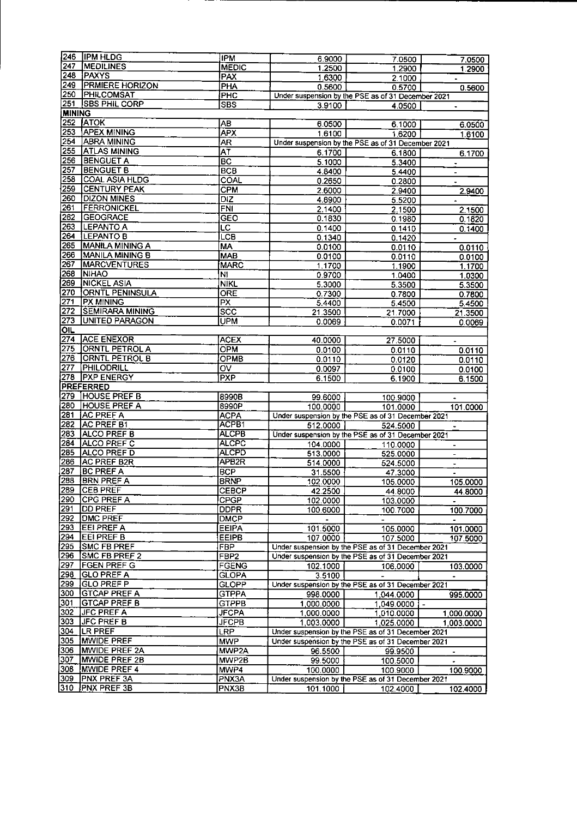| I246             | <b>IPM HLDG</b>        | <b>IPM</b>              | 6.9000                                             | 7.0500                                             | 7.0500                   |  |
|------------------|------------------------|-------------------------|----------------------------------------------------|----------------------------------------------------|--------------------------|--|
| 247              | <b>MEDILINES</b>       | <b>MEDIC</b>            | 1 2500                                             | 1.2900                                             | 1.2900                   |  |
| 248              | PAXYS                  | PAX                     | 1.6300                                             | 2.1000                                             |                          |  |
| 249              | <b>PRMIERE HORIZON</b> | <b>PHA</b>              |                                                    |                                                    | $\bullet$ .              |  |
| 250              | <b>PHILCOMSAT</b>      |                         | 0.5600                                             | 0.5700                                             | 0.5600                   |  |
|                  |                        | PHC                     | Under suspension by the PSE as of 31 December 2021 |                                                    |                          |  |
| 251              | <b>SBS PHIL CORP</b>   | <b>SBS</b>              | 3.9100                                             | 4.0500                                             | $\bullet$                |  |
| <b>MINING</b>    |                        |                         |                                                    |                                                    |                          |  |
| 252              | <b>ATOK</b>            | AB                      | 6.0500                                             | 6.1000                                             | 6.0500                   |  |
| 253              | <b>APEX MINING</b>     | <b>APX</b>              | 1.6100                                             | 1.6200                                             | 1.6100                   |  |
| 254              | <b>ABRA MINING</b>     | AR                      |                                                    | Under suspension by the PSE as of 31 December 2021 |                          |  |
| 255              | <b>ATLAS MINING</b>    | AT                      | 6.1700                                             | 6.1800                                             | 6.1700                   |  |
| 256              | <b>BENGUET A</b>       | BC                      | 5.1000                                             | 5.3400                                             | $\blacksquare$           |  |
| <u>257</u>       | <b>BENGUET B</b>       | <b>BCB</b>              | 4 8400                                             |                                                    |                          |  |
| 258              | <b>COAL ASIA HLDG</b>  | COAL                    |                                                    | 5.4400                                             | $\blacksquare$           |  |
| 259              |                        |                         | 0.2650                                             | 0.2800                                             |                          |  |
|                  | <b>CENTURY PEAK</b>    | <b>CPM</b>              | 2.6000                                             | 2.9400                                             | 2.9400                   |  |
| 260              | <b>DIZON MINES</b>     | $\overline{D}$          | 4.8900                                             | 5.5200                                             | $\blacksquare$           |  |
| 261              | <b>FERRONICKEL</b>     | <b>FNI</b>              | 2.1400                                             | 2.1500                                             | 2.1500                   |  |
| 262              | <b>GEOGRACE</b>        | <b>GEO</b>              | 0.1830                                             | 0.1980                                             | 0.1820                   |  |
| 263              | <b>LEPANTO A</b>       | LC                      | 0.1400                                             | 0.1410                                             | 0.1400                   |  |
| 264              | <b>LEPANTO B</b>       | <b>LCB</b>              | 0.1340                                             | 0.1420                                             |                          |  |
| 265              | MANILA MINING A        | М٨                      | 0.0100                                             | 0.0110                                             | 0.0110                   |  |
| 266              | MANILA MINING B        | <b>MAB</b>              | 0.0100                                             | 0.0110                                             | 0.0100                   |  |
| 267              | <b>MARCVENTURES</b>    | <b>MARC</b>             | 1.1700                                             |                                                    |                          |  |
| 268              | <b>NIHAO</b>           |                         |                                                    | 1.1900                                             | 1.1700                   |  |
| 269              | <b>NICKEL ASIA</b>     | N1                      | 0.9700                                             | 1.0400                                             | 1.0300                   |  |
|                  |                        | <b>NIKL</b>             | 5.3000                                             | 5.3500                                             | 5.3500                   |  |
| 270              | <b>ORNTL PENINSULA</b> | ORE                     | 0.7300                                             | 0.7800                                             | 0.7800                   |  |
| 271              | <b>PX MINING</b>       | $\overline{PX}$         | 5.4400                                             | 5.4500                                             | 5.4500                   |  |
| 272              | <b>SEMIRARA MINING</b> | $\overline{\text{sec}}$ | 21.3500                                            | 21.7000                                            | 21.3500                  |  |
| 273              | <b>UNITED PARAGON</b>  | <b>UPM</b>              | 0.0069                                             | 0.0071                                             | 0.0069                   |  |
| <b>OIL</b>       |                        |                         |                                                    |                                                    |                          |  |
| 274              | <b>ACE ENEXOR</b>      | <b>ACEX</b>             | 40.0000                                            | 27.5000                                            | $\sim$                   |  |
| 275              | <b>ORNTL PETROL A</b>  | OPM                     | 0.0100                                             | 0.0110                                             | 0.0110                   |  |
| 276              | <b>ORNTL PETROL B</b>  | OPMB                    | 0.0110                                             | 0.0120                                             | 0.0110                   |  |
| 277              | PHILODRILL             | 0V                      |                                                    |                                                    |                          |  |
| 278              | <b>PXP ENERGY</b>      |                         | 0.0097                                             | 0.0100                                             | 0.0100                   |  |
|                  |                        | <b>PXP</b>              | 6.1500                                             | 6.1900                                             | 6.1500                   |  |
|                  | <b>PREFERRED</b>       |                         |                                                    |                                                    |                          |  |
| 279              | <b>HOUSE PREF B</b>    | 8990B                   | 99.6000                                            | 100.9000                                           |                          |  |
| 280              | <b>HOUSE PREF A</b>    | 8990P                   | 100.0000                                           | 101.0000                                           | 101.0000                 |  |
| 281              | <b>AC PREF A</b>       | <b>ACPA</b>             |                                                    | Under suspension by the PSE as of 31 December 2021 |                          |  |
| 282              | AC PREF B1             | ACPB1                   | 512.0000                                           | 524.5000                                           |                          |  |
| 283              | <b>ALCO PREF B</b>     | <b>ALCPB</b>            |                                                    | Under suspension by the PSE as of 31 December 2021 |                          |  |
| 284              | ALCO PREF C            | <b>ALCPC</b>            | 104.0000                                           | 110.0000                                           |                          |  |
| 285              | ALCO PREF D            | <b>ALCPD</b>            | 513.0000                                           | 525.0000                                           |                          |  |
| 286              | AC PREF B2R            | APB <sub>2R</sub>       | 514.0000                                           | 524.5000                                           | $\blacksquare$           |  |
| 287              | <b>BC PREF A</b>       | <b>BCP</b>              | 31.5500                                            |                                                    |                          |  |
| 288              | <b>BRN PREF A</b>      | <b>BRNP</b>             |                                                    | 47.3000                                            | $\blacksquare$           |  |
|                  |                        |                         | 102.0000                                           | 105.0000                                           | 105.0000                 |  |
| 289              | ICEB PREF              | CEBCP                   | 42.2500                                            | 44.8000                                            | 44.8000                  |  |
| 290              | <b>CPG PREF A</b>      | <b>CPGP</b>             | 102.0000                                           | 103.0000                                           |                          |  |
| 291              | <b>DD PREF</b>         | <b>DDPR</b>             | 100.6000                                           | 100.7000                                           | 100.7000                 |  |
| 292              | <b>DMC PREF</b>        | <b>DMCP</b>             | $\bullet$                                          | ÷.                                                 |                          |  |
| $\sqrt{293}$     | <b>EEI PREF A</b>      | <b>EEIPA</b>            | 101.5000                                           | 105.0000                                           | 101.0000                 |  |
| 294              | EEI PREF B             | <b>EEIPB</b>            | 107.0000                                           | 107.5000                                           | 107.5000                 |  |
| 295              | <b>SMC FB PREF</b>     | <b>FBP</b>              |                                                    | Under suspension by the PSE as of 31 December 2021 |                          |  |
| $\overline{296}$ | SMC FB PREF 2          | FBP <sub>2</sub>        |                                                    | Under suspension by the PSE as of 31 December 2021 |                          |  |
| 297              | <b>FGEN PREF G</b>     | <b>FGENG</b>            | 102.1000                                           | 106.0000                                           | 103.0000                 |  |
| 298              | <b>GLO PREF A</b>      | <b>GLOPA</b>            | 3.5100                                             |                                                    |                          |  |
| 299              | GLO PREF P             | <b>GLOPP</b>            |                                                    | Under suspension by the PSE as of 31 December 2021 |                          |  |
|                  |                        |                         |                                                    |                                                    |                          |  |
| 300              | <b>GTCAP PREF A</b>    | <b>GTPPA</b>            | 998.0000                                           | 1,044.0000                                         | 995.0000                 |  |
| 301              | <b>GTCAP PREF B</b>    | <b>GTPPB</b>            | 1.000.0000                                         | 1,049,0000                                         | $\overline{\phantom{a}}$ |  |
| 302              | <b>JFC PREF A</b>      | <b>JFCPA</b>            | 1,000.0000                                         | 1,010.0000                                         | 1,000,0000               |  |
| 303              | <b>JFC PREF B</b>      | <b>JFCPB</b>            | 1,003.0000                                         | 1,025.0000                                         | 1,003.0000               |  |
| 304              | LR PREF                | LRP.                    |                                                    | Under suspension by the PSE as of 31 December 2021 |                          |  |
| $\overline{305}$ | <b>MWIDE PREF</b>      | <b>MWP</b>              | Under suspension by the PSE as of 31 December 2021 |                                                    |                          |  |
| 306              | <b>MWIDE PREF 2A</b>   | MWP2A                   | 96.5500                                            | 99.9500                                            | $\blacksquare$           |  |
| 307              | <b>MWIDE PREF 2B</b>   | MWP2B                   | 99.5000                                            | 100.5000                                           |                          |  |
| 308              | MWIDE PREF 4           | MWP4                    | 100.0000                                           | 100.9000                                           |                          |  |
| 309              | <b>PNX PREF 3A</b>     |                         |                                                    | Under suspension by the PSE as of 31 December 2021 | 100.9000                 |  |
| 310              | <b>PNX PREF 3B</b>     | PNX3A<br>PNX3B          | 101.1000 l                                         |                                                    |                          |  |
|                  |                        |                         |                                                    | 102.4000                                           | 102.4000 L               |  |